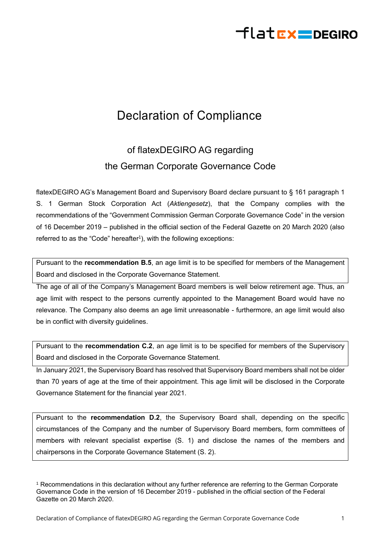## flat**EX=DEGIRO**

## Declaration of Compliance

## of flatexDEGIRO AG regarding the German Corporate Governance Code

flatexDEGIRO AG's Management Board and Supervisory Board declare pursuant to § 161 paragraph 1 S. 1 German Stock Corporation Act (*Aktiengesetz*), that the Company complies with the recommendations of the "Government Commission German Corporate Governance Code" in the version of 16 December 2019 – published in the official section of the Federal Gazette on 20 March 2020 (also referred to as the "Code" hereafter<sup>1</sup>), with the following exceptions:

Pursuant to the **recommendation B.5**, an age limit is to be specified for members of the Management Board and disclosed in the Corporate Governance Statement.

The age of all of the Company's Management Board members is well below retirement age. Thus, an age limit with respect to the persons currently appointed to the Management Board would have no relevance. The Company also deems an age limit unreasonable - furthermore, an age limit would also be in conflict with diversity guidelines.

Pursuant to the **recommendation C.2**, an age limit is to be specified for members of the Supervisory Board and disclosed in the Corporate Governance Statement.

In January 2021, the Supervisory Board has resolved that Supervisory Board members shall not be older than 70 years of age at the time of their appointment. This age limit will be disclosed in the Corporate Governance Statement for the financial year 2021.

Pursuant to the **recommendation D.2**, the Supervisory Board shall, depending on the specific circumstances of the Company and the number of Supervisory Board members, form committees of members with relevant specialist expertise (S. 1) and disclose the names of the members and chairpersons in the Corporate Governance Statement (S. 2).

<sup>1</sup> Recommendations in this declaration without any further reference are referring to the German Corporate Governance Code in the version of 16 December 2019 - published in the official section of the Federal Gazette on 20 March 2020.